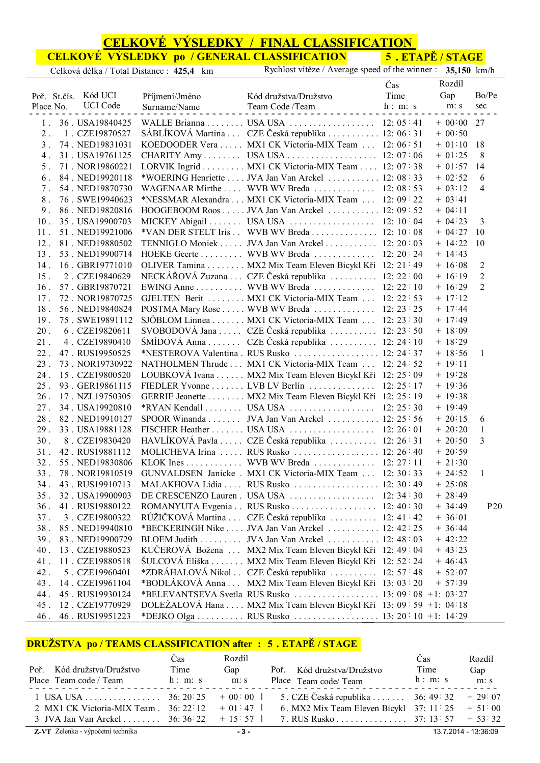## **CELKOVÉ VÝSLEDKY / FINAL CLASSIFICATION**

**CELKOVÉ VÝSLEDKY po / GENERAL CLASSIFICATION 5 . ETAPĚ / STAGE**

| Celková délka / Total Distance : 425,4 km | Rychlost vítěze / Average speed of the winner : 35,150 km/h |  |  |
|-------------------------------------------|-------------------------------------------------------------|--|--|
|                                           |                                                             |  |  |

|                                     |                         |                                                                     | Čas     | Rozdíl       |                 |
|-------------------------------------|-------------------------|---------------------------------------------------------------------|---------|--------------|-----------------|
| Poř. St.čís. Kód UCI                | Příjmení/Jméno          | Kód družstva/Družstvo                                               | Time    | Gap          | Bo/Pe           |
| <b>UCI</b> Code<br>Place No.        | Surname/Name<br>1.1.1.1 | Team Code /Team<br>n h                                              | h: m: s | m: s         | sec             |
| 1. 36. USA19840425                  |                         | WALLE Brianna USA USA 12: 05:41                                     |         | $+ 00:00 27$ |                 |
| 2. 1. CZE19870527                   |                         | SÁBLÍKOVÁ Martina  CZE Česká republika  12:06:31                    |         | $+ 00:50$    |                 |
| 3 <sup>1</sup><br>74. NED19831031   |                         | KOEDOODER Vera MX1 CK Victoria-MIX Team 12: 06:51                   |         | $+ 01:10$    | - 18            |
| $4$ .<br>31. USA19761125            |                         | CHARITY Amy USA USA 12: 07:06                                       |         | $+ 01:25$    | 8               |
| 5 <sub>1</sub><br>71. NOR19860221   |                         | LORVIK Ingrid MX1 CK Victoria-MIX Team 12: 07:38                    |         | $+ 01:57$    | 14              |
| 6.<br>84. NED19920118               |                         | *WOERING Henriette JVA Jan Van Arckel 12: 08:33                     |         | $+ 02:52$    | 6               |
| 54. NED19870730<br>$7$ .            |                         | WAGENAAR Mirthe  WVB WV Breda  12:08:53                             |         | $+ 03:12$    | $\overline{4}$  |
| 8 <sub>1</sub><br>76. SWE19940623   |                         | *NESSMAR Alexandra MX1 CK Victoria-MIX Team 12: 09:22               |         | $+ 03:41$    |                 |
| 9 <sub>1</sub><br>86. NED19820816   |                         | HOOGEBOOM Roos JVA Jan Van Arckel 12: 09 : 52                       |         | $+ 04:11$    |                 |
| 35. USA19900703<br>10 <sub>1</sub>  |                         | MICKEY Abigail USA USA 12: 10:04                                    |         | $+ 04:23$    | 3               |
| 51. NED19921006<br>11.              |                         | *VAN DER STELT Iris . WVB WV Breda 12: 10:08                        |         | $+ 04:27$    | 10              |
| 81. NED19880502<br>12 <sup>12</sup> |                         | TENNIGLO Moniek  JVA Jan Van Arckel  12: 20:03                      |         | $+ 14:22$    | 10              |
| 53. NED19900714<br>$13$ .           |                         | HOEKE Geerte WVB WV Breda 12: 20 : 24                               |         | $+ 14:43$    |                 |
| 16. GBR19771010<br>14.              |                         | OLIVER Tamina MX2 Mix Team Eleven Bicykl Kří 12: 21: 49             |         | $+ 16:08$    | 2               |
| 15 <sub>1</sub><br>2. CZE19840629   |                         | NECKÁŘOVÁ Zuzana  CZE Česká republika  12: 22:00                    |         | $+ 16:19$    | $\overline{2}$  |
| 57. GBR19870721<br>16 <sup>1</sup>  |                         | EWING Anne WVB WV Breda 12: 22 : 10                                 |         | $+ 16:29$    | $\overline{2}$  |
| 72. NOR19870725<br>17 <sup>17</sup> |                         | GJELTEN Berit  MX1 CK Victoria-MIX Team  12: 22:53                  |         | $+ 17:12$    |                 |
| 56. NED19840824<br>18.              |                         | POSTMA Mary Rose WVB WV Breda 12: 23 : 25                           |         | $+ 17:44$    |                 |
| 19 <sub>1</sub><br>75. SWE19891112  |                         | SJÖBLOM Linnea MX1 CK Victoria-MIX Team 12: 23 : 30                 |         | $+ 17:49$    |                 |
| $20$ .<br>6. CZE19820611            |                         | SVOBODOVÁ Jana  CZE Česká republika  12:23:50                       |         | $+ 18:09$    |                 |
| 4. CZE19890410<br>$21$ .            |                         | ŠMÍDOVÁ Anna  CZE Česká republika  12:24 10                         |         | $+ 18:29$    |                 |
| $22$ .<br>47. RUS19950525           |                         | *NESTEROVA Valentina . RUS Rusko  12: 24:37                         |         | $+ 18:56$    | 1               |
| 73. NOR19730922<br>23.              |                         | NATHOLMEN Thrude  MX1 CK Victoria-MIX Team  12: 24:52               |         | $+ 19:11$    |                 |
| $24$ .<br>15. CZE19800520           |                         | LOUBKOVÁ Ivana  MX2 Mix Team Eleven Bicykl Kří 12:25:09             |         | $+ 19:28$    |                 |
| 25.<br>93. GER19861115              |                         | FIEDLER Yvonne LVB LV Berlín 12: 25 : 17                            |         | $+ 19:36$    |                 |
| 17. NZL19750305<br>$26$ .           |                         | GERRIE Jeanette MX2 Mix Team Eleven Bicykl Kří 12: 25 : 19          |         | $+ 19:38$    |                 |
| 34. USA19920810<br>27 <sub>1</sub>  |                         | *RYAN Kendall USA USA $\dots$ 12: 25 : 30                           |         | $+ 19:49$    |                 |
| $28$ .<br>82. NED19910127           |                         | SPOOR Winanda JVA Jan Van Arckel 12: 25 : 56                        |         | $+20:15$     | 6               |
| 33. USA19881128<br>29 <sub>1</sub>  |                         | FISCHER Heather USA USA 12: 26:01                                   |         | $+20:20$     | $\mathbf{1}$    |
| 30 <sub>1</sub><br>8. CZE19830420   |                         | HAVLÍKOVÁ Pavla  CZE Česká republika  12: 26:31                     |         | $+20:50$     | 3               |
| 42. RUS19881112<br>$31$ .           |                         | MOLICHEVA Irina  RUS Rusko  12:26:40                                |         | $+20:59$     |                 |
| $32$ .<br>55. NED19830806           |                         | KLOK Ines WVB WV Breda 12: 27:11                                    |         | $+21:30$     |                 |
| 33.<br>78. NOR19810519              |                         | GUNVALDSEN Janicke . MX1 CK Victoria-MIX Team  12: 30:33            |         | $+ 24:52$    | 1               |
| 43. RUS19910713<br>34.              |                         | MALAKHOVA Lidia  RUS Rusko  12: 30:49                               |         | $+25:08$     |                 |
| 35. 32. USA19900903                 |                         |                                                                     |         | $+28:49$     |                 |
| 36.<br>41. RUS19880122              |                         | ROMANYUTA Evgenia RUS Rusko 12: 40:30                               |         | $+34:49$     | P <sub>20</sub> |
| 37.<br>3. CZE19800322               |                         | RŮŽIČKOVÁ Martina  CZE Česká republika  12: 41:42                   |         | $+36:01$     |                 |
| 38.<br>85. NED19940810              |                         | *BECKERINGH Nike  JVA Jan Van Arckel  12: 42:25                     |         | $+36:44$     |                 |
| 39.<br>83. NED19900729              |                         | BLOEM Judith JVA Jan Van Arckel 12: 48:03                           |         | $+ 42:22$    |                 |
| 40.<br>13. CZE19880523              |                         | KUČEROVÁ Božena  MX2 Mix Team Eleven Bicykl Kří 12: 49:04           |         | $+43:23$     |                 |
| 11. CZE19880518<br>41.              |                         | ŠULCOVÁ Eliška MX2 Mix Team Eleven Bicykl Kří 12: 52 24             |         | $+46:43$     |                 |
| 5. CZE19960401<br>42.               |                         |                                                                     |         | $+ 52:07$    |                 |
| 43.<br>14. CZE19961104              |                         | *BODLÁKOVÁ Anna  MX2 Mix Team Eleven Bicykl Kří 13:03:20            |         | $+ 57:39$    |                 |
| 44.<br>45. RUS19930124              |                         |                                                                     |         |              |                 |
| 45.<br>12. CZE19770929              |                         | DOLEŻALOVÁ Hana  MX2 Mix Team Eleven Bicykl Kří 13: 09:59 +1: 04:18 |         |              |                 |
| 46. RUS19951223<br>46.              |                         | *DEJKO Olga  RUS Rusko  13: 20 : 10 +1: 14:29                       |         |              |                 |

# **DRUŽSTVA po / TEAMS CLASSIFICATION after : 5 . ETAPĚ / STAGE**

|                                                     | Cas  | Rozdíl |                                                            | Čas     | Rozdíl               |
|-----------------------------------------------------|------|--------|------------------------------------------------------------|---------|----------------------|
| Poř. Kód družstva/Družstvo                          | Time | Gap    | Poř. Kód družstva/Družstvo                                 | Time    | Gap                  |
| Place Team code / Team h: m: s                      |      | m: s   | Place Team code/ Team                                      | h: m: s | m: s                 |
| 1. USA USA 36: 20: 25 $\pm 00$ : 00                 |      |        | 5. CZE Česká republika $\ldots \ldots$ 36: 49: 32 + 29: 07 |         |                      |
| 2. MX1 CK Victoria-MIX Team $. 36: 22: 12 + 01: 47$ |      |        | 6. MX2 Mix Team Eleven Bicykl $37: 11: 25 + 51: 00$        |         |                      |
| 3. JVA Jan Van Arckel  36: 36: 22 $+ 15:57$         |      |        | 7. RUS Rusko 37: 13: 57 + 53: 32                           |         |                      |
| <b>Z-VT</b> Zelenka - výpočetní technika            |      | $-3-$  |                                                            |         | 13.7.2014 - 13:36:09 |